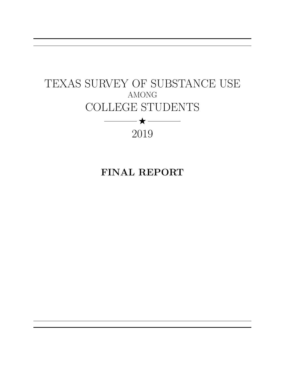# <span id="page-0-0"></span>TEXAS SURVEY OF SUBSTANCE USE AMONG COLLEGE STUDENTS  $\begin{picture}(20,5) \put(0,0){\dashbox{0.5}(5,0){ }} \thicklines \put(0,0){\dashbox{0.5}(5,0){ }} \thicklines \put(0,0){\dashbox{0.5}(5,0){ }} \thicklines \put(0,0){\dashbox{0.5}(5,0){ }} \thicklines \put(0,0){\dashbox{0.5}(5,0){ }} \thicklines \put(0,0){\dashbox{0.5}(5,0){ }} \thicklines \put(0,0){\dashbox{0.5}(5,0){ }} \thicklines \put(0,0){\dashbox{0.5}(5,0){ }} \thicklines \put(0,0){\dashbox{0.5}(5,0$ 2019

# FINAL REPORT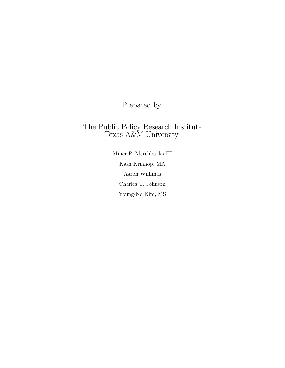Prepared by

## The Public Policy Research Institute Texas A&M University

Miner P. Marchbanks III Kash Krinhop, MA Aaron Willimas Charles T. Johnson Young-No Kim, MS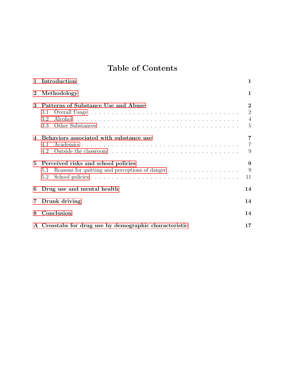## Table of Contents

<span id="page-2-0"></span>

| $\mathbf{1}$   | Introduction                                                                                        | $\mathbf{1}$                                      |
|----------------|-----------------------------------------------------------------------------------------------------|---------------------------------------------------|
| $\mathbf{2}$   | Methodology                                                                                         |                                                   |
| 3              | Patterns of Substance Use and Abuse<br>3.1<br>3.2<br>3.3                                            | $\bf{2}$<br>$\overline{2}$<br>$\overline{4}$<br>5 |
| $\overline{4}$ | Behaviors associated with substance use<br>4.1<br>4.2                                               | 7<br>$\overline{7}$<br>9                          |
| 5.             | Perceived risks and school policies<br>Reasons for quitting and perceptions of danger<br>5.1<br>5.2 | 9<br>9<br>11                                      |
| 6              | Drug use and mental health                                                                          | 14                                                |
| 7              | Drunk driving                                                                                       | 14                                                |
| 8              | Conclusion                                                                                          | 14                                                |
|                | A Crosstabs for drug use by demographic characteristic                                              | 17                                                |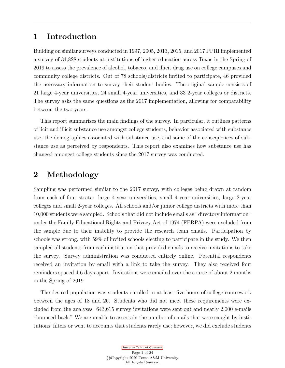## <span id="page-3-0"></span>1 Introduction

Building on similar surveys conducted in 1997, 2005, 2013, 2015, and 2017 PPRI implemented a survey of 31,828 students at institutions of higher education across Texas in the Spring of 2019 to assess the prevalence of alcohol, tobacco, and illicit drug use on college campuses and community college districts. Out of 78 schools/districts invited to participate, 46 provided the necessary information to survey their student bodies. The original sample consists of 21 large 4-year universities, 24 small 4-year universities, and 33 2-year colleges or districts. The survey asks the same questions as the 2017 implementation, allowing for comparability between the two years.

This report summarizes the main findings of the survey. In particular, it outlines patterns of licit and illicit substance use amongst college students, behavior associated with substance use, the demographics associated with substance use, and some of the consequences of substance use as perceived by respondents. This report also examines how substance use has changed amongst college students since the 2017 survey was conducted.

## <span id="page-3-1"></span>2 Methodology

Sampling was performed similar to the 2017 survey, with colleges being drawn at random from each of four strata: large 4-year universities, small 4-year universities, large 2-year colleges and small 2-year colleges. All schools and/or junior college districts with more than 10,000 students were sampled. Schools that did not include emails as "directory information" under the Family Educational Rights and Privacy Act of 1974 (FERPA) were excluded from the sample due to their inability to provide the research team emails. Participation by schools was strong, with 59% of invited schools electing to participate in the study. We then sampled all students from each institution that provided emails to receive invitations to take the survey. Survey administration was conducted entirely online. Potential respondents received an invitation by email with a link to take the survey. They also received four reminders spaced 4-6 days apart. Invitations were emailed over the course of about 2 months in the Spring of 2019.

The desired population was students enrolled in at least five hours of college coursework between the ages of 18 and 26. Students who did not meet these requirements were excluded from the analyses. 643,615 survey invitations were sent out and nearly 2,000 e-mails "bounced-back." We are unable to ascertain the number of emails that were caught by institutions' filters or went to accounts that students rarely use; however, we did exclude students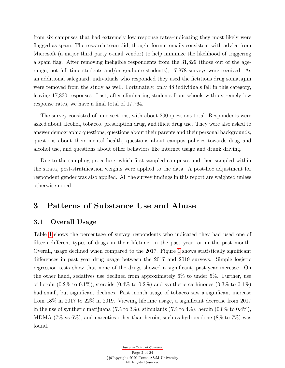from six campuses that had extremely low response rates–indicating they most likely were flagged as spam. The research team did, though, format emails consistent with advice from Microsoft (a major third party e-mail vendor) to help minimize the likelihood of triggering a spam flag. After removing ineligible respondents from the 31,829 (those out of the agerange, not full-time students and/or graduate students), 17,878 surveys were received. As an additional safeguard, individuals who responded they used the fictitious drug somatajim were removed from the study as well. Fortunately, only 48 individuals fell in this category, leaving 17,830 responses. Last, after eliminating students from schools with extremely low response rates, we have a final total of 17,764.

The survey consisted of nine sections, with about 200 questions total. Respondents were asked about alcohol, tobacco, prescription drug, and illicit drug use. They were also asked to answer demographic questions, questions about their parents and their personal backgrounds, questions about their mental health, questions about campus policies towards drug and alcohol use, and questions about other behaviors like internet usage and drunk driving.

Due to the sampling procedure, which first sampled campuses and then sampled within the strata, post-stratification weights were applied to the data. A post-hoc adjustment for respondent gender was also applied. All the survey findings in this report are weighted unless otherwise noted.

## <span id="page-4-1"></span><span id="page-4-0"></span>3 Patterns of Substance Use and Abuse

#### 3.1 Overall Usage

Table [1](#page-5-0) shows the percentage of survey respondents who indicated they had used one of fifteen different types of drugs in their lifetime, in the past year, or in the past month. Overall, usage declined when compared to the 2017. Figure [1](#page-6-1) shows statistically significant differences in past year drug usage between the 2017 and 2019 surveys. Simple logistic regression tests show that none of the drugs showed a significant, past-year increase. On the other hand, sedatives use declined from approximately 6% to under 5%. Further, use of heroin  $(0.2\%$  to  $0.1\%)$ , steroids  $(0.4\%$  to  $0.2\%)$  and synthetic cathinones  $(0.3\%$  to  $0.1\%)$ had small, but significant declines. Past month usage of tobacco saw a significant increase from 18% in 2017 to 22% in 2019. Viewing lifetime usage, a significant decrease from 2017 in the use of synthetic marijuana  $(5\% \text{ to } 3\%)$ , stimulants  $(5\% \text{ to } 4\%)$ , heroin  $(0.8\% \text{ to } 0.4\%)$ , MDMA (7% vs 6%), and narcotics other than heroin, such as hydrocodone (8% to 7%) was found.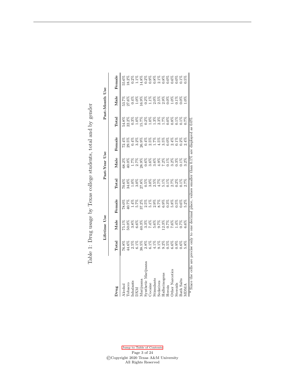Table 1: Drug usage by Texas college students, total and by gender Table 1: Drug usage by Texas college students, total and by gender

<span id="page-5-0"></span>

|                                                                                                         |                                                                 | Lifetime Use |                        |                                                       | Past-Year Use |        |       | Past-Month Use                                   |        |
|---------------------------------------------------------------------------------------------------------|-----------------------------------------------------------------|--------------|------------------------|-------------------------------------------------------|---------------|--------|-------|--------------------------------------------------|--------|
|                                                                                                         |                                                                 |              |                        |                                                       |               |        |       |                                                  |        |
| Jrug                                                                                                    | Total                                                           | Male         | Female                 | Total                                                 | Male          | Female | Total | Male                                             | Female |
| <b>Mcohol</b>                                                                                           |                                                                 |              |                        |                                                       |               |        |       | 53.7%                                            | 55.6%  |
|                                                                                                         | $\frac{76.8\%}{44.6\%}$                                         |              |                        |                                                       |               |        |       |                                                  |        |
| Tobacco<br>Inhalants                                                                                    |                                                                 |              | 78.0%<br>10.7%<br>1.4% |                                                       |               |        |       |                                                  |        |
| <b>NX</b>                                                                                               |                                                                 |              | 5.7%                   |                                                       |               |        |       | $\frac{27.6\%}{1.0\%}$                           |        |
| Iarijuana                                                                                               | $\begin{array}{c} 2.5\% \\ 6.1\% \\ 2.8\% \\ 2.8\% \end{array}$ |              |                        | 88888888888888888<br>600008868888888888<br>24- 350001 |               |        |       |                                                  |        |
| Synthetic 1                                                                                             |                                                                 |              |                        |                                                       |               |        |       |                                                  |        |
| <b>Jocaine</b>                                                                                          |                                                                 |              |                        |                                                       |               |        |       |                                                  |        |
| <i>stimulants</i>                                                                                       |                                                                 |              |                        |                                                       |               |        |       |                                                  |        |
| Sedatives                                                                                               |                                                                 |              |                        |                                                       |               |        |       |                                                  |        |
| Hallucinogens                                                                                           |                                                                 |              |                        |                                                       |               |        |       |                                                  |        |
| Heroin                                                                                                  |                                                                 |              |                        |                                                       |               |        |       |                                                  |        |
| <b>Other Narcotics</b>                                                                                  | 8<br>2 8 8 8 8 8 8 8 8 8<br>6 4 5 6 6 6 6 6 6 9                 |              |                        |                                                       |               |        |       | 8888888888888<br>90110590011001<br>9011010101001 |        |
| steroids                                                                                                |                                                                 |              |                        |                                                       |               |        |       |                                                  |        |
| Bath Salts                                                                                              |                                                                 |              |                        |                                                       |               |        |       |                                                  |        |
| ADMA                                                                                                    |                                                                 |              |                        |                                                       |               |        |       |                                                  |        |
| * Since the cells are precise only to one decimal place, values smaller than 0.1% are displayed as 0.0% |                                                                 |              |                        |                                                       |               |        |       |                                                  |        |

[Jump to Table of Contents](#page-2-0) Page 3 of 24 ©Copyright 2020 Texas A&M University All Rights Reserved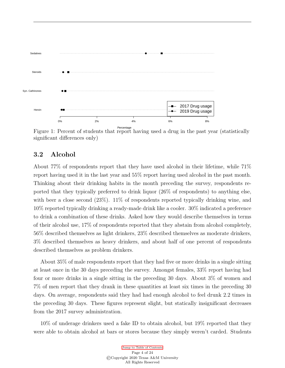<span id="page-6-1"></span>

Figure 1: Percent of students that report having used a drug in the past year (statistically significant differences only)

#### <span id="page-6-0"></span>3.2 Alcohol

About 77% of respondents report that they have used alcohol in their lifetime, while 71% report having used it in the last year and 55% report having used alcohol in the past month. Thinking about their drinking habits in the month preceding the survey, respondents reported that they typically preferred to drink liquor (26% of respondents) to anything else, with beer a close second  $(23\%)$ . 11% of respondents reported typically drinking wine, and 10% reported typically drinking a ready-made drink like a cooler. 30% indicated a preference to drink a combination of these drinks. Asked how they would describe themselves in terms of their alcohol use, 17% of respondents reported that they abstain from alcohol completely, 56% described themselves as light drinkers, 23% described themselves as moderate drinkers, 3% described themselves as heavy drinkers, and about half of one percent of respondents described themselves as problem drinkers.

About 35% of male respondents report that they had five or more drinks in a single sitting at least once in the 30 days preceding the survey. Amongst females, 33% report having had four or more drinks in a single sitting in the preceding 30 days. About 3% of women and 7% of men report that they drank in these quantities at least six times in the preceding 30 days. On average, respondents said they had had enough alcohol to feel drunk 2.2 times in the preceding 30 days. These figures represent slight, but statically insignificant decreases from the 2017 survey administration.

10% of underage drinkers used a fake ID to obtain alcohol, but 19% reported that they were able to obtain alcohol at bars or stores because they simply weren't carded. Students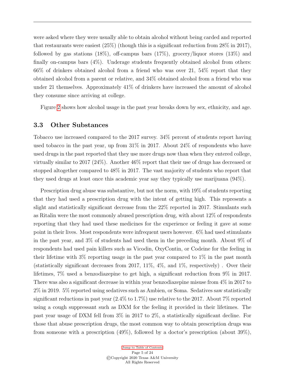were asked where they were usually able to obtain alcohol without being carded and reported that restaurants were easiest (25%) (though this is a significant reduction from 28% in 2017), followed by gas stations  $(18\%)$ , off-campus bars  $(17\%)$ , grocery/liquor stores  $(13\%)$  and finally on-campus bars (4%). Underage students frequently obtained alcohol from others: 66% of drinkers obtained alcohol from a friend who was over 21, 54% report that they obtained alcohol from a parent or relative, and 34% obtained alcohol from a friend who was under 21 themselves. Approximately 41% of drinkers have increased the amount of alcohol they consume since arriving at college.

Figure [2](#page-8-0) shows how alcohol usage in the past year breaks down by sex, ethnicity, and age.

#### <span id="page-7-0"></span>3.3 Other Substances

Tobacco use increased compared to the 2017 survey. 34% percent of students report having used tobacco in the past year, up from 31% in 2017. About 24% of respondents who have used drugs in the past reported that they use more drugs now than when they entered college, virtually similar to 2017 (24%). Another 46% report that their use of drugs has decreased or stopped altogether compared to 48% in 2017. The vast majority of students who report that they used drugs at least once this academic year say they typically use marijuana (94%).

Prescription drug abuse was substantive, but not the norm, with 19% of students reporting that they had used a prescription drug with the intent of getting high. This represents a slight and statistically significant decrease from the 22% reported in 2017. Stimulants such as Ritalin were the most commonly abused prescription drug, with about 12% of respondents reporting that they had used these medicines for the experience or feeling it gave at some point in their lives. Most respondents were infrequent users however. 6% had used stimulants in the past year, and 3% of students had used them in the preceding month. About 9% of respondents had used pain killers such as Vicodin, OxyContin, or Codeine for the feeling in their lifetime with 3% reporting usage in the past year compared to 1% in the past month (statistically significant decreases from 2017, 11%, 4%, and 1%, respectively) . Over their lifetimes, 7% used a benzodiazepine to get high, a significant reduction from 9% in 2017. There was also a significant decrease in within year benzodiazepine misuse from 4% in 2017 to 2% in 2019. 5% reported using sedatives such as Ambien, or Soma. Sedatives saw statistically significant reductions in past year (2.4% to 1.7%) use relative to the 2017. About 7% reported using a cough suppressant such as DXM for the feeling it provided in their lifetimes. The past year usage of DXM fell from 3% in 2017 to 2%, a statistically significant decline. For those that abuse prescription drugs, the most common way to obtain prescription drugs was from someone with a prescription (49%), followed by a doctor's prescription (about 39%),

> [Jump to Table of Contents](#page-2-0) Page 5 of 24 ©Copyright 2020 Texas A&M University All Rights Reserved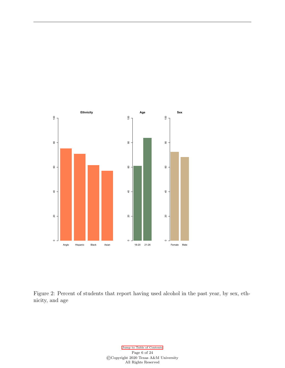<span id="page-8-0"></span>

Figure 2: Percent of students that report having used alcohol in the past year, by sex, ethnicity, and age

> [Jump to Table of Contents](#page-2-0) Page 6 of  $24\,$ ©Copyright 2020 Texas A&M University All Rights Reserved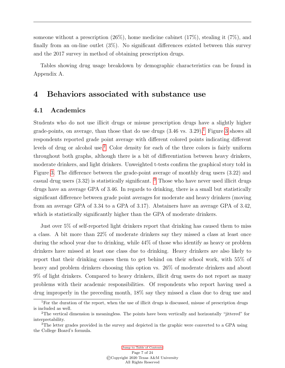someone without a prescription  $(26\%)$ , home medicine cabinet  $(17\%)$ , stealing it  $(7\%)$ , and finally from an on-line outlet (3%). No significant differences existed between this survey and the 2017 survey in method of obtaining prescription drugs.

Tables showing drug usage breakdown by demographic characteristics can be found in Appendix A.

## <span id="page-9-1"></span><span id="page-9-0"></span>4 Behaviors associated with substance use

#### 4.1 Academics

Students who do not use illicit drugs or misuse prescription drugs have a slightly higher grade-points, on average, than those that do use drugs  $(3.46 \text{ vs. } 3.29)$  $(3.46 \text{ vs. } 3.29)$  $(3.46 \text{ vs. } 3.29)$ .<sup>[1](#page-0-0)</sup> Figure 3 shows all respondents reported grade point average with different colored points indicating different levels of drug or alcohol use.[2](#page-0-0) Color density for each of the three colors is fairly uniform throughout both graphs, although there is a bit of differentiation between heavy drinkers, moderate drinkers, and light drinkers. Unweighted t-tests confirm the graphical story told in Figure [3.](#page-10-0) The difference between the grade-point average of monthly drug users (3.22) and casual drug users  $(3.32)$  $(3.32)$  $(3.32)$  is statistically significant. <sup>3</sup> Those who have never used illicit drugs drugs have an average GPA of 3.46. In regards to drinking, there is a small but statistically significant difference between grade point averages for moderate and heavy drinkers (moving from an average GPA of 3.34 to a GPA of 3.17). Abstainers have an average GPA of 3.42, which is statistically significantly higher than the GPA of moderate drinkers.

Just over 5% of self-reported light drinkers report that drinking has caused them to miss a class. A bit more than 22% of moderate drinkers say they missed a class at least once during the school year due to drinking, while 44% of those who identify as heavy or problem drinkers have missed at least one class due to drinking. Heavy drinkers are also likely to report that their drinking causes them to get behind on their school work, with 55% of heavy and problem drinkers choosing this option vs. 26% of moderate drinkers and about 9% of light drinkers. Compared to heavy drinkers, illicit drug users do not report as many problems with their academic responsibilities. Of respondents who report having used a drug improperly in the preceding month, 18% say they missed a class due to drug use and

<sup>&</sup>lt;sup>1</sup>For the duration of the report, when the use of illicit drugs is discussed, misuse of prescription drugs is included as well.

<sup>2</sup>The vertical dimension is meaningless. The points have been vertically and horizontally "jittered" for interpretability.

<sup>&</sup>lt;sup>3</sup>The letter grades provided in the survey and depicted in the graphic were converted to a GPA using the College Board's formula.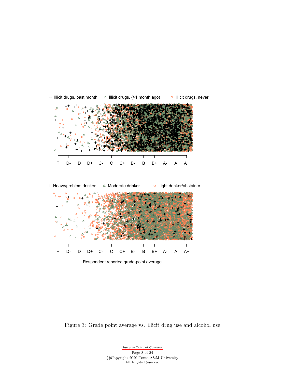- Δ F D- D D+ C- C C+ B- B B+ A- A A+
- <span id="page-10-0"></span> $+$  Illicit drugs, past month  $\triangle$  Illicit drugs, (>1 month ago)  $\triangle$  Illicit drugs, never



Respondent reported grade-point average

Figure 3: Grade point average vs. illicit drug use and alcohol use

[Jump to Table of Contents](#page-2-0) Page 8 of 24 ©Copyright 2020 Texas A&M University All Rights Reserved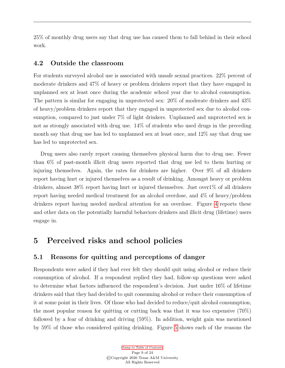25% of monthly drug users say that drug use has caused them to fall behind in their school work.

#### <span id="page-11-0"></span>4.2 Outside the classroom

For students surveyed alcohol use is associated with unsafe sexual practices. 22% percent of moderate drinkers and 47% of heavy or problem drinkers report that they have engaged in unplanned sex at least once during the academic school year due to alcohol consumption. The pattern is similar for engaging in unprotected sex: 20% of moderate drinkers and 43% of heavy/problem drinkers report that they engaged in unprotected sex due to alcohol consumption, compared to just under 7% of light drinkers. Unplanned and unprotected sex is not as strongly associated with drug use. 14% of students who used drugs in the preceding month say that drug use has led to unplanned sex at least once, and 12% say that drug use has led to unprotected sex.

Drug users also rarely report causing themselves physical harm due to drug use. Fewer than 6% of past-month illicit drug users reported that drug use led to them hurting or injuring themselves. Again, the rates for drinkers are higher. Over 9% of all drinkers report having hurt or injured themselves as a result of drinking. Amongst heavy or problem drinkers, almost 38% report having hurt or injured themselves. Just over1% of all drinkers report having needed medical treatment for an alcohol overdose, and 4% of heavy/problem drinkers report having needed medical attention for an overdose. Figure [4](#page-12-0) reports these and other data on the potentially harmful behaviors drinkers and illicit drug (lifetime) users engage in.

### <span id="page-11-1"></span>5 Perceived risks and school policies

#### <span id="page-11-2"></span>5.1 Reasons for quitting and perceptions of danger

Respondents were asked if they had ever felt they should quit using alcohol or reduce their consumption of alcohol. If a respondent replied they had, follow-up questions were asked to determine what factors influenced the respondent's decision. Just under 16% of lifetime drinkers said that they had decided to quit consuming alcohol or reduce their consumption of it at some point in their lives. Of those who had decided to reduce/quit alcohol consumption, the most popular reason for quitting or cutting back was that it was too expensive (70%) followed by a fear of drinking and driving (59%). In addition, weight gain was mentioned by 59% of those who considered quiting drinking. Figure [5](#page-14-0) shows each of the reasons the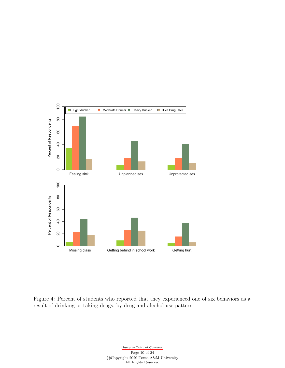<span id="page-12-0"></span>

Figure 4: Percent of students who reported that they experienced one of six behaviors as a result of drinking or taking drugs, by drug and alcohol use pattern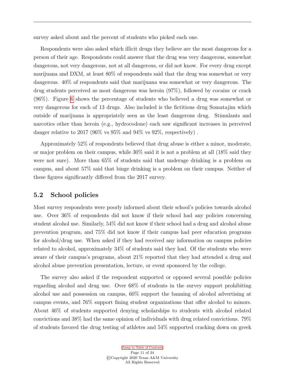survey asked about and the percent of students who picked each one.

Respondents were also asked which illicit drugs they believe are the most dangerous for a person of their age. Respondents could answer that the drug was very dangerous, somewhat dangerous, not very dangerous, not at all dangerous, or did not know. For every drug except marijuana and DXM, at least 80% of respondents said that the drug was somewhat or very dangerous. 40% of respondents said that marijuana was somewhat or very dangerous. The drug students perceived as most dangerous was heroin (97%), followed by cocaine or crack (96%). Figure [6](#page-15-0) shows the percentage of students who believed a drug was somewhat or very dangerous for each of 13 drugs. Also included is the fictitious drug Somatajim which outside of marijuana is appropriately seen as the least dangerous drug. Stimulants and narcotics other than heroin (e.g., hydrocodone) each saw significant increases in perceived danger relative to 2017 (96% vs  $95\%$  and  $94\%$  vs  $92\%$ , respectively).

Approximately 52% of respondents believed that drug abuse is either a minor, moderate, or major problem on their campus, while 30% said it is not a problem at all (18% said they were not sure). More than 65% of students said that underage drinking is a problem on campus, and about 57% said that binge drinking is a problem on their campus. Neither of these figures significantly differed from the 2017 survey.

#### <span id="page-13-0"></span>5.2 School policies

Most survey respondents were poorly informed about their school's policies towards alcohol use. Over 36% of respondents did not know if their school had any policies concerning student alcohol use. Similarly, 54% did not know if their school had a drug and alcohol abuse prevention program, and 75% did not know if their campus had peer education programs for alcohol/drug use. When asked if they had received any information on campus policies related to alcohol, approximately 34% of students said they had. Of the students who were aware of their campus's programs, about 21% reported that they had attended a drug and alcohol abuse prevention presentation, lecture, or event sponsored by the college.

The survey also asked if the respondent supported or opposed several possible policies regarding alcohol and drug use. Over 68% of students in the survey support prohibiting alcohol use and possession on campus, 60% support the banning of alcohol advertising at campus events, and 76% support fining student organizations that offer alcohol to minors. About 46% of students supported denying scholarships to students with alcohol related convictions and 38% had the same opinion of individuals with drug related convictions. 79% of students favored the drug testing of athletes and 54% supported cracking down on greek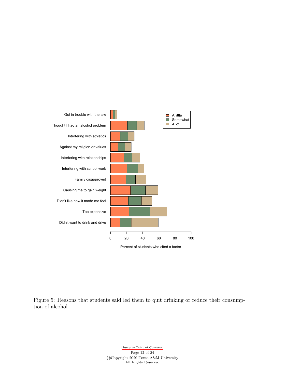<span id="page-14-0"></span>

Figure 5: Reasons that students said led them to quit drinking or reduce their consumption of alcohol

> [Jump to Table of Contents](#page-2-0) Page 12 of 24 ©Copyright 2020 Texas A&M University All Rights Reserved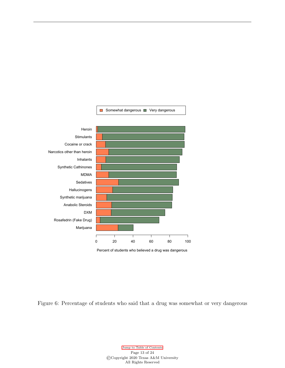<span id="page-15-0"></span>



Figure 6: Percentage of students who said that a drug was somewhat or very dangerous

[Jump to Table of Contents](#page-2-0) Page 13 of 24 ©Copyright 2020 Texas A&M University All Rights Reserved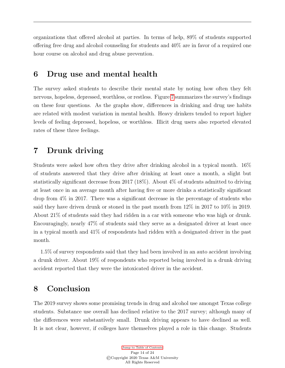organizations that offered alcohol at parties. In terms of help, 89% of students supported offering free drug and alcohol counseling for students and 40% are in favor of a required one hour course on alcohol and drug abuse prevention.

### <span id="page-16-0"></span>6 Drug use and mental health

The survey asked students to describe their mental state by noting how often they felt nervous, hopeless, depressed, worthless, or restless. Figure [7](#page-17-0) summarizes the survey's findings on these four questions. As the graphs show, differences in drinking and drug use habits are related with modest variation in mental health. Heavy drinkers tended to report higher levels of feeling depressed, hopeless, or worthless. Illicit drug users also reported elevated rates of these three feelings.

## <span id="page-16-1"></span>7 Drunk driving

Students were asked how often they drive after drinking alcohol in a typical month. 16% of students answered that they drive after drinking at least once a month, a slight but statistically significant decrease from 2017 (18%). About 4% of students admitted to driving at least once in an average month after having five or more drinks a statistically significant drop from 4% in 2017. There was a significant decrease in the percentage of students who said they have driven drunk or stoned in the past month from 12% in 2017 to 10% in 2019. About 21% of students said they had ridden in a car with someone who was high or drunk. Encouragingly, nearly 47% of students said they serve as a designated driver at least once in a typical month and 41% of respondents had ridden with a designated driver in the past month.

1.5% of survey respondents said that they had been involved in an auto accident involving a drunk driver. About 19% of respondents who reported being involved in a drunk driving accident reported that they were the intoxicated driver in the accident.

## <span id="page-16-2"></span>8 Conclusion

The 2019 survey shows some promising trends in drug and alcohol use amongst Texas college students. Substance use overall has declined relative to the 2017 survey; although many of the differences were substantively small. Drunk driving appears to have declined as well. It is not clear, however, if colleges have themselves played a role in this change. Students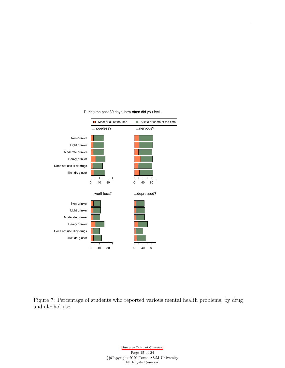<span id="page-17-0"></span>

During the past 30 days, how often did you feel...

Figure 7: Percentage of students who reported various mental health problems, by drug and alcohol use

> [Jump to Table of Contents](#page-2-0) Page 15 of 24 ©Copyright 2020 Texas A&M University All Rights Reserved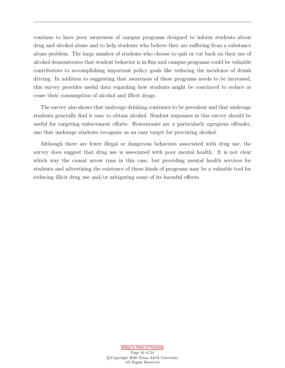continue to have poor awareness of campus programs designed to inform students about drug and alcohol abuse and to help students who believe they are suffering from a substance abuse problem. The large number of students who choose to quit or cut back on their use of alcohol demonstrates that student behavior is in flux and campus programs could be valuable contributors to accomplishing important policy goals like reducing the incidence of drunk driving. In addition to suggesting that awareness of these programs needs to be increased, this survey provides useful data regarding how students might be convinced to reduce or cease their consumption of alcohol and illicit drugs.

The survey also shows that underage drinking continues to be prevalent and that underage students generally find it easy to obtain alcohol. Student responses in this survey should be useful for targeting enforcement efforts. Restaurants are a particularly egregious offender, one that underage students recognize as an easy target for procuring alcohol.

Although there are fewer illegal or dangerous behaviors associated with drug use, the survey does suggest that drug use is associated with poor mental health. It is not clear which way the causal arrow runs in this case, but providing mental health services for students and advertising the existence of these kinds of programs may be a valuable tool for reducing illicit drug use and/or mitigating some of its harmful effects.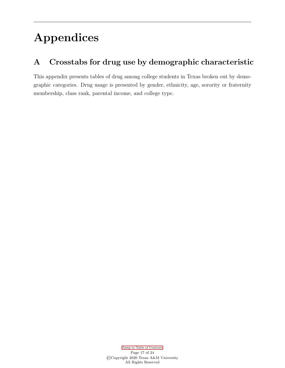# Appendices

## <span id="page-19-0"></span>A Crosstabs for drug use by demographic characteristic

This appendix presents tables of drug among college students in Texas broken out by demographic categories. Drug usage is presented by gender, ethnicity, age, sorority or fraternity membership, class rank, parental income, and college type.

> [Jump to Table of Contents](#page-2-0) Page 17 of 24 ©Copyright 2020 Texas A&M University All Rights Reserved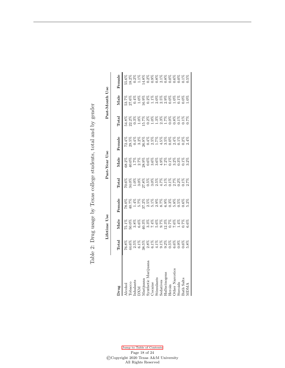Table 2: Drug usage by Texas college students, total and by gender Table 2: Drug usage by Texas college students, total and by gender

|                                 |       | Lifetime Use |                                                                                                                   |                                     | Past-Year Use |        |                | Past-Month Use |                                                                               |
|---------------------------------|-------|--------------|-------------------------------------------------------------------------------------------------------------------|-------------------------------------|---------------|--------|----------------|----------------|-------------------------------------------------------------------------------|
| Jrug                            | Total | Male         | Female                                                                                                            | <b>Total</b>                        | Male          | Female | $_{\rm Total}$ | Male           | Pemale                                                                        |
|                                 |       |              |                                                                                                                   |                                     |               |        |                |                |                                                                               |
|                                 |       |              |                                                                                                                   |                                     |               |        |                |                |                                                                               |
| Alcohol<br>Горассо              |       |              |                                                                                                                   |                                     |               |        |                |                |                                                                               |
| $\mathop{\mathrm{Inhalants}}$   |       |              |                                                                                                                   |                                     |               |        |                |                |                                                                               |
|                                 |       |              | 8 8 8 8 8 8 8 8 8 8 8 8 8 8 8 8 8<br>0 5 5 4 5 8 8 8 8 9 8 9 8 8 8 8 8 8 8<br>0 5 5 8 8 8 8 8 8 8 8 8 8 8 8 8 8 8 | 次次次次次次次次次次次次次次次次次次次次次次次次次次次次次次次次次次次 |               |        |                |                | 5<br>8 8 8 8 8 8 8 8 8 8 8 8 8 8 8 8 8<br>8 8 8 8 8 8 8 8 8 8 8 8 8 8 8 8 8 8 |
|                                 |       |              |                                                                                                                   |                                     |               |        |                |                |                                                                               |
| )XM<br>Marijuana<br>Synthetic l |       |              |                                                                                                                   |                                     |               |        |                |                |                                                                               |
| $7$ ocaine                      |       |              |                                                                                                                   |                                     |               |        |                |                |                                                                               |
| timulants                       |       |              |                                                                                                                   |                                     |               |        |                |                |                                                                               |
| edatives                        |       |              |                                                                                                                   |                                     |               |        |                |                |                                                                               |
| <b>Tallucinos</b>               |       |              |                                                                                                                   |                                     |               |        |                |                |                                                                               |
| Ieroin                          |       |              |                                                                                                                   |                                     |               |        |                |                |                                                                               |
| ther Narcot                     |       |              |                                                                                                                   |                                     |               |        |                |                |                                                                               |
| teroids                         |       |              |                                                                                                                   |                                     |               |        |                |                |                                                                               |
| Bath Salts                      |       |              |                                                                                                                   |                                     |               |        |                |                |                                                                               |
|                                 |       |              |                                                                                                                   |                                     |               |        |                |                |                                                                               |

[Jump to Table of Contents](#page-2-0) Page 18 of 24 ©Copyright 2020 Texas A&M University All Rights Reserved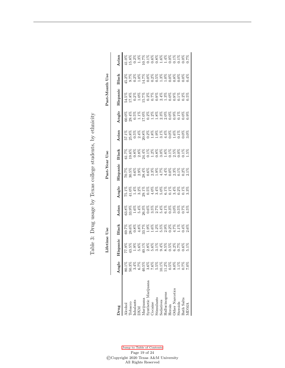Table 3: Drug usage by Texas college students, by ethnicity Table 3: Drug usage by Texas college students, by ethnicity

|                                                                        |       | Lifetime | Jse   |       |                                                                                                 | $\rm {Past-Year}$                                                                                  | IJse                                                                                                     |                                                                                                               |                                                                                                       | Past-Month | Jse                                                                                                       |       |
|------------------------------------------------------------------------|-------|----------|-------|-------|-------------------------------------------------------------------------------------------------|----------------------------------------------------------------------------------------------------|----------------------------------------------------------------------------------------------------------|---------------------------------------------------------------------------------------------------------------|-------------------------------------------------------------------------------------------------------|------------|-----------------------------------------------------------------------------------------------------------|-------|
|                                                                        |       |          |       |       |                                                                                                 |                                                                                                    |                                                                                                          |                                                                                                               |                                                                                                       |            |                                                                                                           |       |
| <b>Prug</b>                                                            | Anglo | Hispanic | Black | Asian | Anglo                                                                                           | Hispanic                                                                                           | Black                                                                                                    | Asian                                                                                                         | Anglo                                                                                                 | Hispanic   | Black                                                                                                     | Asian |
| Alcohol                                                                |       |          |       |       |                                                                                                 | S S S S S S S S S S S S S S S S<br>L n o o a d o a d L d O a H O 1<br>C g O a g O a H d d O 10 O a | 5<br>5 5 5 5 5 5 5 5 6 5 6 5 5 5 5 6<br>5 6 7 6 7 5 6 7 6 7 6 7 6 7 6 7 6<br>5 6 7 6 7 6 7 6 7 6 7 6 7 6 |                                                                                                               |                                                                                                       |            |                                                                                                           |       |
|                                                                        |       |          |       |       |                                                                                                 |                                                                                                    |                                                                                                          |                                                                                                               |                                                                                                       |            |                                                                                                           |       |
|                                                                        |       |          |       |       |                                                                                                 |                                                                                                    |                                                                                                          |                                                                                                               |                                                                                                       |            |                                                                                                           |       |
| Tobacco<br>Inhalants<br>DXM                                            |       |          |       |       | E H = w B = 4 w m @ 0 w 0 0 w<br>L 0 4 si = w 0 4 0 L 1 4 si = w<br>R & & & & & & & & & & & & & |                                                                                                    |                                                                                                          | 5 5 5 5 5 5 5 5 5 5 5 5 5 5 5 5 5 6<br>1 3 5 4 3 6 7 3 9 1 4 0 5 1 0 0<br>5 5 6 7 8 9 7 8 9 8 9 8 8 8 8 8 8 8 | 8 8 8 8 8 8 8 8 8 8 8 8 8 8 8 8 8<br>0 4 5 5 6 9 9 9 9 9 9 9 9 9 9<br>0 8 9 9 9 9 9 9 9 9 9 9 9 9 9 9 |            | 4 0 0 1 4 0 0 0 1 1 0 0 0 0 0<br>3 7 8 8 8 8 8 8 8 8 8 8 8 8 8 8 8 8<br>8 8 8 8 8 8 8 8 8 8 8 8 8 8 8 8 8 |       |
|                                                                        |       |          |       |       |                                                                                                 |                                                                                                    |                                                                                                          |                                                                                                               |                                                                                                       |            |                                                                                                           |       |
|                                                                        |       |          |       |       |                                                                                                 |                                                                                                    |                                                                                                          |                                                                                                               |                                                                                                       |            |                                                                                                           |       |
|                                                                        |       |          |       |       |                                                                                                 |                                                                                                    |                                                                                                          |                                                                                                               |                                                                                                       |            |                                                                                                           |       |
| Marijuana<br>Synthetic Marijuana<br>Cocaine<br>Stimulants<br>Sedatives |       |          |       |       |                                                                                                 |                                                                                                    |                                                                                                          |                                                                                                               |                                                                                                       |            |                                                                                                           |       |
|                                                                        |       |          |       |       |                                                                                                 |                                                                                                    |                                                                                                          |                                                                                                               |                                                                                                       |            |                                                                                                           |       |
|                                                                        |       |          |       |       |                                                                                                 |                                                                                                    |                                                                                                          |                                                                                                               |                                                                                                       |            |                                                                                                           |       |
| Hallucinogens<br>Heroin                                                |       |          |       |       |                                                                                                 |                                                                                                    |                                                                                                          |                                                                                                               |                                                                                                       |            |                                                                                                           |       |
| ther Narcotics                                                         |       |          |       |       |                                                                                                 |                                                                                                    |                                                                                                          |                                                                                                               |                                                                                                       |            |                                                                                                           |       |
| Steroids                                                               |       |          |       |       |                                                                                                 |                                                                                                    |                                                                                                          |                                                                                                               |                                                                                                       |            |                                                                                                           |       |
| Bath Salts                                                             |       |          |       |       |                                                                                                 |                                                                                                    |                                                                                                          |                                                                                                               |                                                                                                       |            |                                                                                                           |       |
|                                                                        |       |          |       |       |                                                                                                 |                                                                                                    |                                                                                                          |                                                                                                               |                                                                                                       |            |                                                                                                           |       |

[Jump to Table of Contents](#page-2-0) Page 19 of  $24\,$ ©Copyright 2020 Texas A&M University All Rights Reserved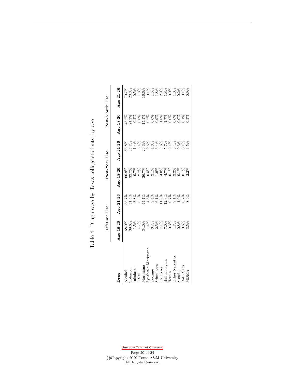|                                                                   | Lifetime Use                                 |                                                                 | Past-Year Use |           | Past-Month Use |                                           |
|-------------------------------------------------------------------|----------------------------------------------|-----------------------------------------------------------------|---------------|-----------|----------------|-------------------------------------------|
| <b>Drug</b>                                                       | Age 18-20                                    | Age 21-26                                                       | Age 18-20     | Age 21-26 | Age 18-20      | $21 - 26$<br>Age:                         |
| <b>Alcohol</b>                                                    | 58.0%                                        |                                                                 | 60.9%         | 83.8%     |                | 70.7%                                     |
| ${\rm Iobacco}$                                                   |                                              |                                                                 |               |           |                |                                           |
|                                                                   |                                              |                                                                 |               |           |                |                                           |
| Inhalants<br>DXM<br>Marijuana<br>Marijuana<br>Synthetic Marijuana |                                              |                                                                 |               |           |                |                                           |
|                                                                   |                                              |                                                                 |               |           |                |                                           |
|                                                                   |                                              |                                                                 |               |           |                |                                           |
| <b>Cocaine</b>                                                    |                                              |                                                                 |               |           |                |                                           |
| Stimulants                                                        |                                              |                                                                 |               |           |                |                                           |
| Sedatives                                                         |                                              |                                                                 |               |           |                |                                           |
| Hallucinogens                                                     |                                              |                                                                 |               |           |                |                                           |
| Heroin                                                            |                                              |                                                                 |               |           |                |                                           |
| Other Narcotics                                                   | 88888888888888888<br>90550455558588888888888 | 8888888888888888888<br>548058410931510505<br>85 388888888888888 |               |           |                | 888888888888888888<br>3053888888888888888 |
| Steroids                                                          |                                              |                                                                 |               |           |                |                                           |
| Bath Salts                                                        |                                              |                                                                 |               |           |                |                                           |
| ADMA                                                              |                                              |                                                                 |               |           |                |                                           |

Steroids 0.8% 1.0% 0.1% 0.3% 0.0% 0.2% Bath Salts 0.6% 0.7% 0.1% 0.1% 0.1% 0.1% MDMA 3.5% 8.9% 2.2% 3.5% 0.5% 0.9% 0.9%

Table 4: Drug usage by Texas college students, by age Table 4: Drug usage by Texas college students, by age

#### [Jump to Table of Contents](#page-2-0) Page  $20$  of  $24\,$ ©Copyright 2020 Texas A&M University All Rights Reserved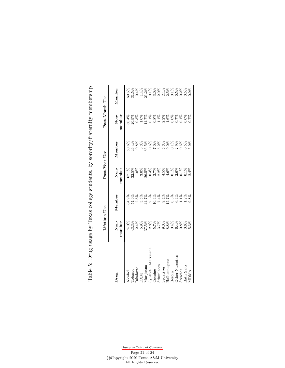Table 5: Drug usage by Texas college students, by sorority/fraternity membership Table 5: Drug usage by Texas college students, by sorority/fraternity membership

|                                  | Lifetime Use         |                      | Past-Year Use    |                   | Past-Month Use               |                   |
|----------------------------------|----------------------|----------------------|------------------|-------------------|------------------------------|-------------------|
| Drug                             | Non-<br>member       | Member               | Non-<br>member   | Member            | Non-<br>member               | Member            |
| Tobacco<br><b>A</b> cohol        | $74.0\%$<br>43.3%    | $84.9\%$<br>$54.9\%$ | $67.1\%$         | $80.6\%$<br>46.4% | 50.4%<br>20.9%               | $69.5\%$<br>31.5% |
|                                  | 2.4%                 |                      | $32.5\%$<br>1.0% | $0.8\%$           |                              |                   |
| Inhalants<br>DXM                 | 5.9%                 | $2.8%$<br>5.5%       | 3.0%             |                   | $0.3%$<br>1.0%               |                   |
|                                  | 37.5%                |                      | 26.5%            | $3.3\%$<br>36.5%  | 14.7%                        |                   |
| Marijuana<br>Synthetic Marijuana |                      |                      | 0.4%             | 0.6%              | $0.1\%$                      |                   |
| <b>Cocaine</b>                   | $2.8\%$<br>5.7%      |                      | 2.7%             | $7.0\%$           |                              |                   |
| Stimulants                       | 3.7%                 |                      | 2.2%             | $5.2\%$           |                              |                   |
| Sedatives                        |                      |                      | 4.5%             | 5.3%              |                              |                   |
| Hallucinogens                    |                      |                      | 4.6%             | $9.0\%$           |                              |                   |
| Heroin                           | 9.8%<br>9.8%<br>0.4% | $12.7%$<br>0.5%      | $0.1\%$          | $0.1\%$           | 0.8%<br>0.1%<br>0.0%<br>0.0% |                   |
| Other Narcotics                  | 6.4%                 | 6.4%                 | $2.6%$<br>0.1%   | 2.9%              |                              |                   |
| Steroids                         | 0.8%                 | $1.1\%$              |                  | $0.5\%$           | $0.7\%$<br>0.1%              |                   |
| <b>Bath Salts</b>                | 0.6%                 | $1.2\%$              | $0.1\%$          | $0.5\%$           | $0.0\%$<br>0.7%              |                   |
| <b>ADMA</b>                      | 5.3%                 | 9.8%                 | 2.4%             | $5.9\%$           |                              | 1.9%              |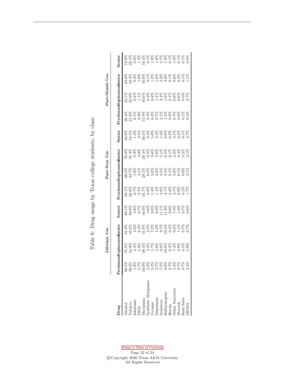Table 6: Drug usage by Texas college students, by class Table 6: Drug usage by Texas college students, by class

|                                                                                        |                                                        | Lifetime                                                                                                          | Use |                                                                                                                   |                                                          | Past-Year              | Use |        |                                                                                           | Past-Month Use                             |                                                                                                                   |                                                               |
|----------------------------------------------------------------------------------------|--------------------------------------------------------|-------------------------------------------------------------------------------------------------------------------|-----|-------------------------------------------------------------------------------------------------------------------|----------------------------------------------------------|------------------------|-----|--------|-------------------------------------------------------------------------------------------|--------------------------------------------|-------------------------------------------------------------------------------------------------------------------|---------------------------------------------------------------|
|                                                                                        |                                                        |                                                                                                                   |     |                                                                                                                   |                                                          |                        |     |        |                                                                                           |                                            |                                                                                                                   |                                                               |
| Jrug                                                                                   | Freshm                                                 | anSophomoraunion                                                                                                  |     | Senior                                                                                                            |                                                          | PreshmanSophomoneunion |     | Senior |                                                                                           | FreshmanSophomoneunion                     |                                                                                                                   | Senior                                                        |
| Alcohol                                                                                | 66.5%                                                  |                                                                                                                   |     |                                                                                                                   |                                                          |                        |     |        |                                                                                           |                                            |                                                                                                                   |                                                               |
| <b>Tobacco</b>                                                                         |                                                        |                                                                                                                   |     |                                                                                                                   |                                                          |                        |     |        |                                                                                           |                                            |                                                                                                                   |                                                               |
|                                                                                        | $39.2\%$<br>1.9%                                       |                                                                                                                   |     |                                                                                                                   |                                                          |                        |     |        |                                                                                           |                                            |                                                                                                                   |                                                               |
| Inhalants<br>DXM<br>Marijuana<br>Synthetic Marijuana<br>Synthetic Marijuana<br>Cocaine | ESERERERERER<br>1999 - ESERERERER<br>1999 - ESERERERER | 5 5 5 5 5 5 5 5 8 5 8 5 8 5 8 5 8 5<br>5 9 4 8 4 5 6 7 6 8 9 0 0 1 0 8 5 9<br>5 8 5 8 5 8 5 8 8 8 8 8 8 8 8 8 8 8 |     | 8 8 8 8 8 8 8 8 8 8 8 8 8 8 8 8 8 8<br>1 8 9 8 1 0 9 9 0 1 0 9 9 9 0 1 0 9<br>2 9 9 8 9 8 9 8 9 8 9 8 8 8 8 8 8 8 | 888888888888888888<br>HOLLOG##0H0H0H0H<br>BRCA#0H#0H0H0H |                        |     |        | \$\$\$\$\$\$\$\$\$\$\$\$\$\$\$\$\$<br>#010033#11301001#<br>\$\$\$\$\$\$\$\$\$\$\$\$\$\$\$ | 888888888888888888<br>19925 19938439518000 | 8 8 8 8 8 8 8 8 8 8 8 8 8 8 8 8 8 8<br>0 3 3 4 0 6 5 5 8 9 8 9 8 8 8 8 8 8<br>2 8 9 8 8 8 8 8 8 8 8 8 8 8 8 8 8 8 | 888888888888888888<br>04604450865050558<br>046045088888888888 |
|                                                                                        |                                                        |                                                                                                                   |     |                                                                                                                   |                                                          |                        |     |        |                                                                                           |                                            |                                                                                                                   |                                                               |
|                                                                                        |                                                        |                                                                                                                   |     |                                                                                                                   |                                                          |                        |     |        |                                                                                           |                                            |                                                                                                                   |                                                               |
|                                                                                        |                                                        |                                                                                                                   |     |                                                                                                                   |                                                          |                        |     |        |                                                                                           |                                            |                                                                                                                   |                                                               |
| Stimulants<br>Sedatives                                                                |                                                        |                                                                                                                   |     |                                                                                                                   |                                                          |                        |     |        |                                                                                           |                                            |                                                                                                                   |                                                               |
|                                                                                        |                                                        |                                                                                                                   |     |                                                                                                                   |                                                          |                        |     |        |                                                                                           |                                            |                                                                                                                   |                                                               |
| Iallucinogens                                                                          |                                                        |                                                                                                                   |     |                                                                                                                   |                                                          |                        |     |        |                                                                                           |                                            |                                                                                                                   |                                                               |
| $\operatorname{Heroin}$                                                                |                                                        |                                                                                                                   |     |                                                                                                                   |                                                          |                        |     |        |                                                                                           |                                            |                                                                                                                   |                                                               |
| ther Narcotics                                                                         |                                                        |                                                                                                                   |     |                                                                                                                   |                                                          |                        |     |        |                                                                                           |                                            |                                                                                                                   |                                                               |
| steroids                                                                               |                                                        |                                                                                                                   |     |                                                                                                                   |                                                          |                        |     |        |                                                                                           |                                            |                                                                                                                   |                                                               |
| Bath Salts                                                                             |                                                        |                                                                                                                   |     |                                                                                                                   |                                                          |                        |     |        |                                                                                           |                                            |                                                                                                                   |                                                               |
| ADMA                                                                                   |                                                        |                                                                                                                   |     |                                                                                                                   |                                                          |                        |     |        |                                                                                           |                                            |                                                                                                                   |                                                               |

[Jump to Table of Contents](#page-2-0) Page 22 of  $24\,$ ©Copyright 2020 Texas A&M University All Rights Reserved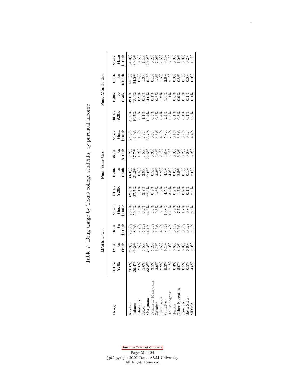Table 7: Drug usage by Texas college students, by parental income Table 7: Drug usage by Texas college students, by parental income

|                                                                   |                                      | Lifetime                                                       | وى             |                                                                                                                   |                | Past-Year                                                                                                   | Use               |                             |                | Past-Month                                                       | Use                                                                       |                             |
|-------------------------------------------------------------------|--------------------------------------|----------------------------------------------------------------|----------------|-------------------------------------------------------------------------------------------------------------------|----------------|-------------------------------------------------------------------------------------------------------------|-------------------|-----------------------------|----------------|------------------------------------------------------------------|---------------------------------------------------------------------------|-----------------------------|
| Drug                                                              | \$0 to<br>\$20k                      | \$20k<br>\$60k                                                 | \$60k<br>5100k | More<br>than<br>5100k                                                                                             | 90 to<br>\$20k | \$20k<br>\$60k                                                                                              | $\frac{60}{100k}$ | $More$<br>$than$<br>$5100k$ | 30 to<br>\$20k | ಕಿ20ಕ್ಕೆ<br>ಹಿಂದ                                                 | $\frac{60}{100k}$                                                         | $More$<br>$than$<br>$t100k$ |
| lcohol                                                            | $70.6\%$                             |                                                                |                |                                                                                                                   |                |                                                                                                             |                   |                             |                |                                                                  |                                                                           |                             |
| <b>Tobacco</b>                                                    | 39.4%                                |                                                                |                |                                                                                                                   |                |                                                                                                             |                   |                             |                |                                                                  |                                                                           |                             |
| nhalants                                                          | 2.6%                                 |                                                                |                |                                                                                                                   |                |                                                                                                             |                   |                             |                |                                                                  |                                                                           |                             |
| <b>NX</b>                                                         | 5.6%                                 |                                                                |                |                                                                                                                   |                |                                                                                                             |                   |                             |                |                                                                  |                                                                           |                             |
|                                                                   | 13.3%                                |                                                                |                |                                                                                                                   |                |                                                                                                             |                   |                             |                |                                                                  |                                                                           |                             |
| <i>Aa</i> rijuana<br>Synthetic Marijuana                          | 3.5%                                 | 888888888888888888<br>839658888888888888<br>949658888888888888 |                | 8 8 8 8 8 8 8 8 8 8 8 8 8 8 8 8 8 8<br>6 9 9 9 9 9 9 9 9 9 9 9 9 1 0 1 0 1<br>8 9 8 8 8 8 8 8 8 8 8 8 8 8 8 8 8 8 |                | 8 8 8 8 8 8 8 8 8 8 8 8 8 8 8 8 8<br>O n n o o o n n d d d d d d d d<br>S 8 8 8 8 8 8 8 8 8 8 8 8 8 8 8 8 8 |                   |                             |                | 8888888888888888888<br>09338050031910000111<br>99900100111100000 | 5<br>5 5 5 5 5 5 5 5 6 5 6 5 6 5 6 7<br>5 6 7 6 7 6 7 6 7 6 7 6 7 6 7 6 7 |                             |
|                                                                   | 888888888<br>688888888<br>6000000000 |                                                                |                |                                                                                                                   |                |                                                                                                             |                   |                             |                |                                                                  |                                                                           |                             |
| $\begin{array}{c} \text{Cocaine} \ \text{Stimulants} \end{array}$ |                                      |                                                                |                |                                                                                                                   |                |                                                                                                             |                   |                             |                |                                                                  |                                                                           |                             |
| sedatives                                                         |                                      |                                                                |                |                                                                                                                   |                |                                                                                                             |                   |                             |                |                                                                  |                                                                           |                             |
| Hallucinogens                                                     |                                      |                                                                |                |                                                                                                                   |                |                                                                                                             |                   |                             |                |                                                                  |                                                                           |                             |
| Heroin                                                            |                                      |                                                                |                |                                                                                                                   |                |                                                                                                             |                   |                             |                |                                                                  |                                                                           |                             |
| Other Narcotics                                                   |                                      |                                                                |                |                                                                                                                   |                |                                                                                                             |                   |                             |                |                                                                  |                                                                           |                             |
| Steroids                                                          |                                      |                                                                |                |                                                                                                                   |                |                                                                                                             |                   |                             |                |                                                                  |                                                                           |                             |
| <b>Bath Salts</b>                                                 |                                      |                                                                |                |                                                                                                                   |                |                                                                                                             |                   |                             |                |                                                                  |                                                                           |                             |
|                                                                   |                                      |                                                                |                |                                                                                                                   |                |                                                                                                             |                   |                             |                |                                                                  |                                                                           |                             |

[Jump to Table of Contents](#page-2-0) Page 23 of 24 ©Copyright 2020 Texas A&M University All Rights Reserved